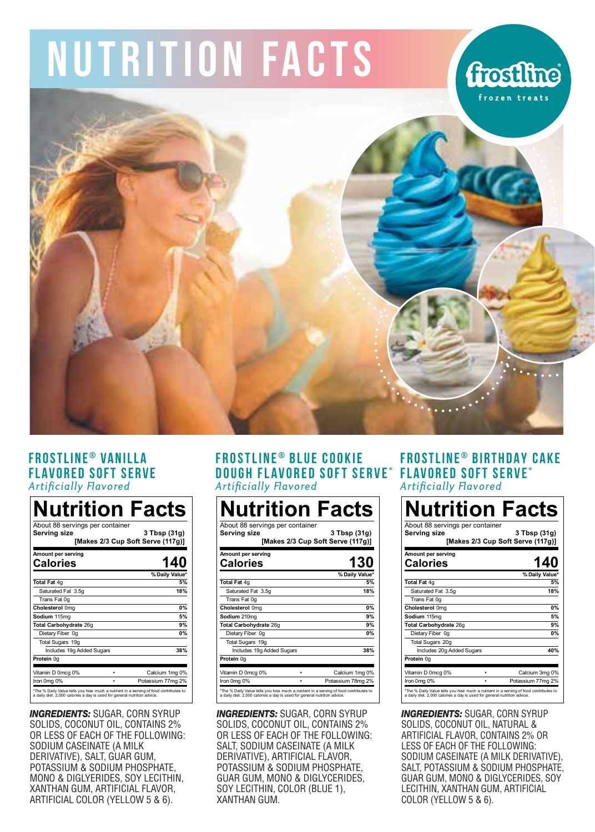# NUTRITION FACTS

# **frostline**



### **FROSTLINE ® VANILLA FLAVORED SOFT SERVE Artificially Flavored**

| Nutrition Facts<br>About 88 servings per container<br>Serving size | 3 Tbsp (31g)<br>[Makes 2/3 Cup Soft Serve (117g)] |
|--------------------------------------------------------------------|---------------------------------------------------|
| Amount per serving<br><b>Calories</b>                              | 140                                               |
|                                                                    | % Daily Value*                                    |
| Total Fat 4g                                                       | 5%                                                |
| Saturated Fat 3.5g                                                 | 18%                                               |
| Trans Fat 0g                                                       |                                                   |
| Cholesterol 0mg                                                    | 0%                                                |
| Sodium 115mg                                                       | 5%                                                |
| Total Carbohydrate 26g                                             | 9%                                                |
| Dietary Fiber 0g                                                   | 0%                                                |
| Total Sugars 19g                                                   |                                                   |
| Includes 19g Added Sugars                                          | 38%                                               |
| Protein 0g                                                         |                                                   |
| Vitamin D 0mcg 0%                                                  | Calcium 1mg 0%                                    |
| Iron Omg 0%<br>٠                                                   | Potassium 77mg 2%                                 |

*INGREDIENTS:* SUGAR, CORN SYRUP SOLIDS, COCONUT OIL, CONTAINS 2% OR LESS OF EACH OF THE FOLLOWING: SODIUM CASEINATE (A MILK DERIVATIVE), SALT, GUAR GUM, POTASSIUM & SODIUM PHOSPHATE, MONO & DIGLYERIDES, SOY LECITHIN, XANTHAN GUM, ARTIFICIAL FLAVOR, ARTIFICIAL COLOR (YELLOW 5 & 6).

#### **FROSTLINE ® BLUE COOKIE DOUGH FLAVORED SOFT SERVE\* FLAVORED SOFT SERVE\* Artificially Flavored**

| About 88 servings per container<br>Serving size |    | 3 Tbsp (31g)<br>[Makes 2/3 Cup Soft Serve (117g)] |
|-------------------------------------------------|----|---------------------------------------------------|
| Amount per serving<br>Calories                  |    | 130                                               |
|                                                 |    | % Daily Value*                                    |
| Total Fat 4g                                    |    | 5%                                                |
| Saturated Fat 3.5g                              |    | 18%                                               |
| Trans Fat 0g                                    |    |                                                   |
| Cholesterol 0mg                                 |    | 0%                                                |
| Sodium 210mg                                    |    | 9%                                                |
| Total Carbohydrate 26g                          |    | 9%                                                |
| Dietary Fiber 0g                                |    | 0%                                                |
| Total Sugars 19g                                |    |                                                   |
| Includes 19g Added Sugars                       |    | 38%                                               |
| Protein 0g                                      |    |                                                   |
| Vitamin D 0mcg 0%                               |    | Calcium 1mg 0%                                    |
| Iron 0mg 0%                                     | ×. | Potassium 78mg 2%                                 |

*INGREDIENTS:* SUGAR, CORN SYRUP SOLIDS, COCONUT OIL, CONTAINS 2% OR LESS OF EACH OF THE FOLLOWING: SALT, SODIUM CASEINATE (A MILK DERIVATIVE), ARTIFICIAL FLAVOR, POTASSIUM & SODIUM PHOSPHATE, GUAR GUM, MONO & DIGLYCERIDES, SOY LECITHIN, COLOR (BLUE 1), XANTHAN GUM.

## **FROSTLINE ® BIRTHDAY CAKE Artificially Flavored**

| <b>Nutrition Facts</b><br>About 88 servings per container<br>Servina size | 3 Tbsp (31g)<br>[Makes 2/3 Cup Soft Serve (117g)] |
|---------------------------------------------------------------------------|---------------------------------------------------|
| Amount per serving<br>Calories                                            | 140                                               |
|                                                                           | % Daily Value*                                    |
| Total Fat 4g                                                              | 5%                                                |
| Saturated Fat 3.5g                                                        | 18%                                               |
| Trans Fat 0g                                                              |                                                   |
| Cholesterol 0mg                                                           | 0%                                                |
| Sodium 115mg                                                              | 5%                                                |
| Total Carbohydrate 26g                                                    | 9%                                                |
| Dietary Fiber 0g                                                          | 0%                                                |
| Total Sugars 20g                                                          |                                                   |
| Includes 20g Added Sugars                                                 | 40%                                               |
| Protein 0g                                                                |                                                   |
| Vitamin D 0mcg 0%                                                         | Calcium 3mg 0%                                    |
| Iron Oma 0%                                                               | Potassium 77mg 2%                                 |

*INGREDIENTS:* SUGAR, CORN SYRUP SOLIDS, COCONUT OIL, NATURAL & ARTIFICIAL FLAVOR, CONTAINS 2% OR LESS OF EACH OF THE FOLLOWING: SODIUM CASEINATE (A MILK DERIVATIVE), SALT, POTASSIUM & SODIUM PHOSPHATE, GUAR GUM, MONO & DIGLYCERIDES, SOY LECITHIN, XANTHAN GUM, ARTIFICIAL COLOR (YELLOW 5 & 6).